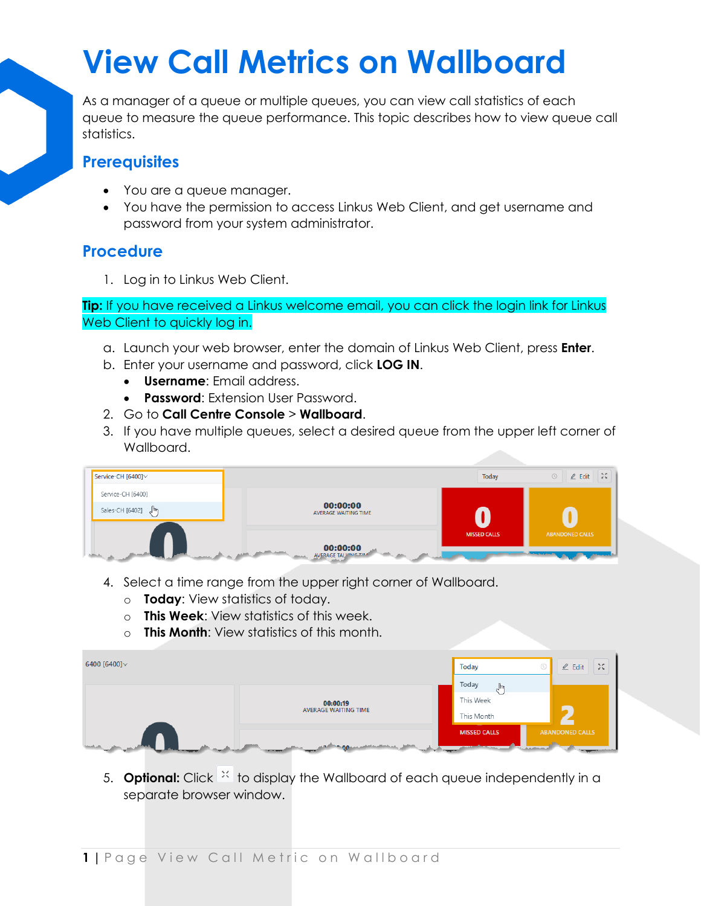## **View Call Metrics on Wallboard**

As a manager of a queue or multiple queues, you can view call statistics of each queue to measure the queue performance. This topic describes how to view queue call statistics.

## **Prerequisites**

- You are a queue manager.
- You have the permission to access Linkus Web Client, and get username and password from your system administrator.

## **Procedure**

1. Log in to Linkus Web Client.

**Tip:** If you have received a Linkus welcome email, you can click the login link for Linkus Web Client to quickly log in.

- a. Launch your web browser, enter the domain of Linkus Web Client, press **Enter**.
- b. Enter your username and password, click **LOG IN**.
	- **Username**: Email address.
	- **Password**: Extension User Password.
- 2. Go to **Call Centre Console** > **Wallboard**.
- 3. If you have multiple queues, select a desired queue from the upper left corner of Wallboard.



- 4. Select a time range from the upper right corner of Wallboard.
	- o **Today**: View statistics of today.
	- o **This Week**: View statistics of this week.
	- o **This Month**: View statistics of this month.

| 6400 [6400] $\vee$ |                                         | <b>Today</b>                                                                                                                                                                                                                                                      | $\mathcal{M}$<br>$\mathbb{Z}$ Edit |
|--------------------|-----------------------------------------|-------------------------------------------------------------------------------------------------------------------------------------------------------------------------------------------------------------------------------------------------------------------|------------------------------------|
|                    | 00:00:19<br><b>AVERAGE WAITING TIME</b> | Today<br>$\mathbb{R}^n$<br>This Week<br>This Month                                                                                                                                                                                                                |                                    |
|                    |                                         | <b>MISSED CALLS</b><br><b><i>Children and Children American and Children and Children and Children and Children and Children and Children and Children and Children and Children and Children and Children and Children and Children and Children and Chi</i></b> | <b>ABANDONED CALLS</b>             |

5. **Optional:** Click  $\frac{1}{2}$  to display the Wallboard of each queue independently in a separate browser window.